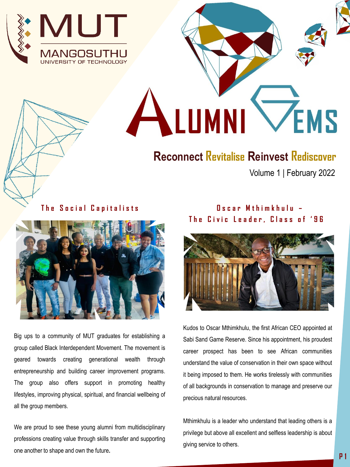



## **Reconnect Revitalise Reinvest Rediscover**

Volume 1 | February 2022

**The Social Capitalists** 



Big ups to a community of MUT graduates for establishing a group called Black Interdependent Movement. The movement is geared towards creating generational wealth through entrepreneurship and building career improvement programs. The group also offers support in promoting healthy lifestyles, improving physical, spiritual, and financial wellbeing of all the group members.

We are proud to see these young alumni from multidisciplinary professions creating value through skills transfer and supporting one another to shape and own the future**.**

## **O s c a r M t h i m k h u l u – The Civic Leader, Class of '96**



Kudos to Oscar Mthimkhulu, the first African CEO appointed at Sabi Sand Game Reserve. Since his appointment, his proudest career prospect has been to see African communities understand the value of conservation in their own space without it being imposed to them. He works tirelessly with communities of all backgrounds in conservation to manage and preserve our precious natural resources.

Mthimkhulu is a leader who understand that leading others is a privilege but above all excellent and selfless leadership is about giving service to others.